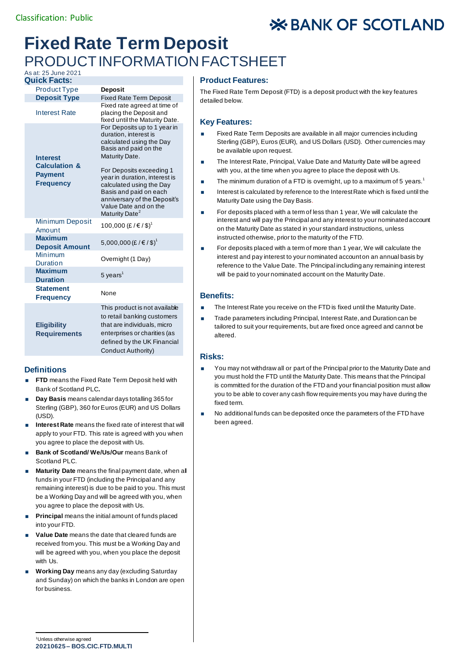# **X BANK OF SCOTLAND**

## **Fixed Rate Term Deposit** PRODUCT INFORMATION FACTSHEET

## As at: 25 June 2021

| <b>Quick Facts:</b>                                                               |                                                                                                                                                                                                                                                                                                          |
|-----------------------------------------------------------------------------------|----------------------------------------------------------------------------------------------------------------------------------------------------------------------------------------------------------------------------------------------------------------------------------------------------------|
| <b>Product Type</b>                                                               | <b>Deposit</b>                                                                                                                                                                                                                                                                                           |
| <b>Deposit Type</b>                                                               | <b>Fixed Rate Term Deposit</b>                                                                                                                                                                                                                                                                           |
| <b>Interest Rate</b>                                                              | Fixed rate agreed at time of<br>placing the Deposit and<br>fixed until the Maturity Date.                                                                                                                                                                                                                |
| <b>Interest</b><br><b>Calculation &amp;</b><br><b>Payment</b><br><b>Frequency</b> | For Deposits up to 1 year in<br>duration, interest is<br>calculated using the Day<br>Basis and paid on the<br>Maturity Date.<br>For Deposits exceeding 1<br>year in duration, interest is<br>calculated using the Day<br>Basis and paid on each<br>anniversary of the Deposit's<br>Value Date and on the |
|                                                                                   | Maturity Date <sup>2</sup>                                                                                                                                                                                                                                                                               |
| <b>Minimum Deposit</b><br>Amount                                                  | 100,000 (£/€/\$) <sup>1</sup>                                                                                                                                                                                                                                                                            |
| <b>Maximum</b><br><b>Deposit Amount</b>                                           | 5,000,000 (£/€/\$) <sup>1</sup>                                                                                                                                                                                                                                                                          |
| Minimum<br><b>Duration</b>                                                        | Overnight (1 Day)                                                                                                                                                                                                                                                                                        |
| <b>Maximum</b><br><b>Duration</b>                                                 | 5 years <sup>1</sup>                                                                                                                                                                                                                                                                                     |
| <b>Statement</b><br><b>Frequency</b>                                              | None                                                                                                                                                                                                                                                                                                     |
| <b>Eligibility</b><br><b>Requirements</b>                                         | This product is not available<br>to retail banking customers<br>that are individuals, micro<br>enterprises or charities (as<br>defined by the UK Financial<br>Conduct Authority)                                                                                                                         |

## **Definitions**

- **FTD** means the Fixed Rate Term Deposit held with Bank of Scotland PLC**.**
- **Day Basis** means calendar days totalling 365 for Sterling (GBP), 360 for Euros (EUR) and US Dollars (USD).
- **Interest Rate** means the fixed rate of interest that will apply to your FTD. This rate is agreed with you when you agree to place the deposit with Us.
- **Bank of Scotland/ We/Us/Our means Bank of** Scotland PLC.
- **Maturity Date** means the final payment date, when all funds in your FTD (including the Principal and any remaining interest) is due to be paid to you. This must be a Working Day and will be agreed with you, when you agree to place the deposit with Us.
- **Principal** means the initial amount of funds placed into your FTD.
- **Value Date** means the date that cleared funds are received from you. This must be a Working Day and will be agreed with you, when you place the deposit with Us.
- **Working Day** means any day (excluding Saturday and Sunday) on which the banks in London are open for business.

#### **Product Features:**

The Fixed Rate Term Deposit (FTD) is a deposit product with the key features detailed below.

#### **Key Features:**

- Fixed Rate Term Deposits are available in all major currencies including Sterling (GBP), Euros (EUR), and US Dollars (USD). Other currencies may be available upon request.
- The Interest Rate, Principal, Value Date and Maturity Date will be agreed with you, at the time when you agree to place the deposit with Us.
- **The minimum duration of a FTD is overnight, up to a maximum of 5 years.**<sup>1</sup>
- Interest is calculated by reference to the Interest Rate which is fixed until the Maturity Date using the Day Basis.
- For deposits placed with a term of less than 1 year, We will calculate the interest and will pay the Principal and any interest to your nominated account on the Maturity Date as stated in your standard instructions, unless instructed otherwise, prior to the maturity of the FTD.
- For deposits placed with a term of more than 1 year, We will calculate the interest and pay interest to your nominated account on an annual basis by reference to the Value Date. The Principal including any remaining interest will be paid to your nominated account on the Maturity Date.

## **Benefits:**

- The Interest Rate you receive on the FTD is fixed until the Maturity Date.
- Trade parameters including Principal, Interest Rate, and Duration can be tailored to suit your requirements, but are fixed once agreed and cannot be altered.

## **Risks:**

- You may not withdraw all or part of the Principal prior to the Maturity Date and you must hold the FTD until the Maturity Date. This means that the Principal is committed for the duration of the FTD and your financial position must allow you to be able to cover any cash flow requirements you may have during the fixed term.
- No additional funds can be deposited once the parameters of the FTD have been agreed.

**20210625 – BOS.CIC.FTD.MULTI** <sup>1</sup>Unless otherwise agreed